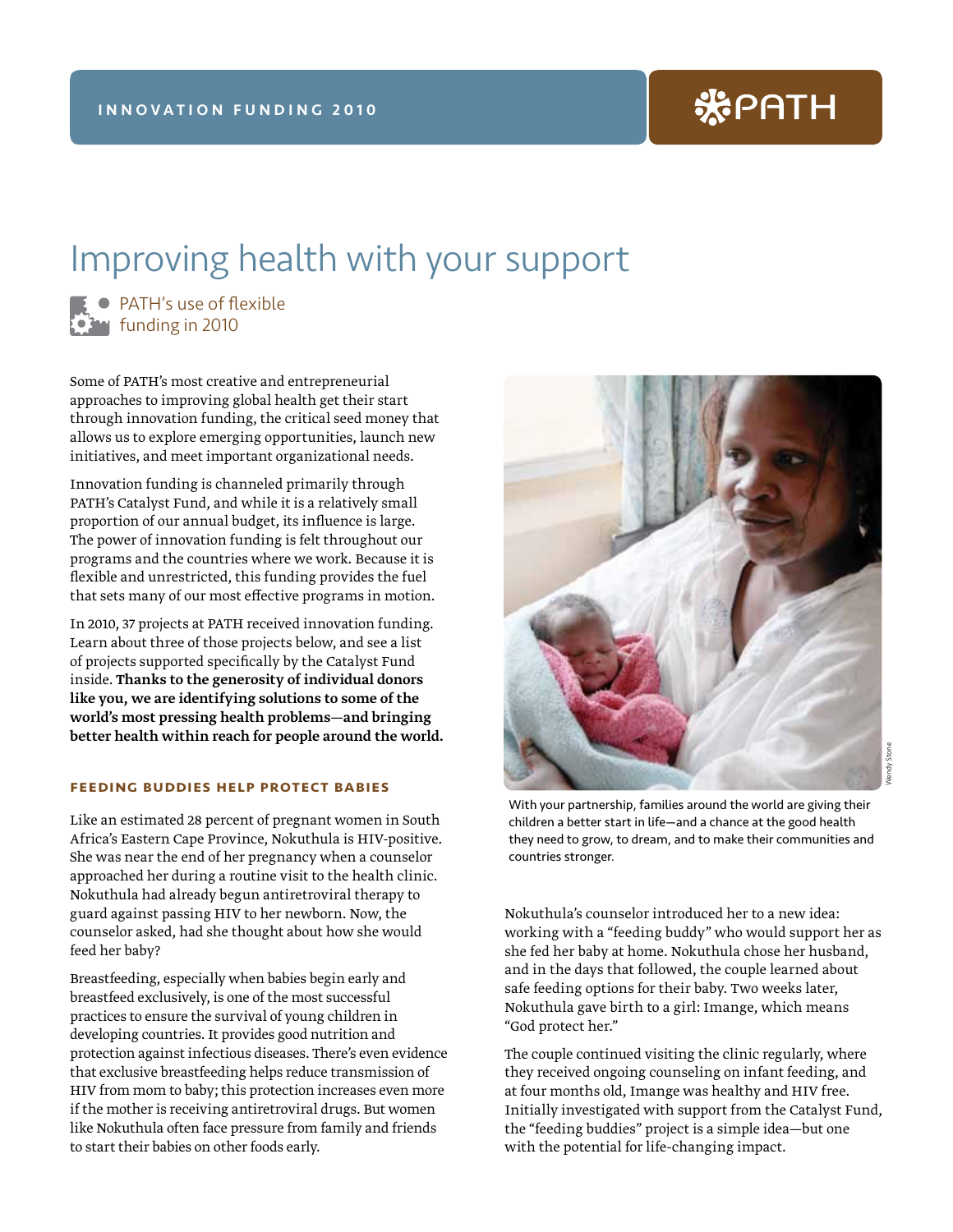# **WPATH**

## Improving health with your support



PATH's use of flexible  $\mathbb{R}$   $\bullet$  PAIH s use of  $\ldots$ <br> $\bullet$  **EV** funding in 2010

Some of PATH's most creative and entrepreneurial approaches to improving global health get their start through innovation funding, the critical seed money that allows us to explore emerging opportunities, launch new initiatives, and meet important organizational needs.

Innovation funding is channeled primarily through PATH's Catalyst Fund, and while it is a relatively small proportion of our annual budget, its influence is large. The power of innovation funding is felt throughout our programs and the countries where we work. Because it is flexible and unrestricted, this funding provides the fuel that sets many of our most effective programs in motion.

In 2010, 37 projects at PATH received innovation funding. Learn about three of those projects below, and see a list of projects supported specifically by the Catalyst Fund inside. Thanks to the generosity of individual donors like you, we are identifying solutions to some of the world's most pressing health problems—and bringing better health within reach for people around the world.

#### feeding buddies help protect babies

Like an estimated 28 percent of pregnant women in South Africa's Eastern Cape Province, Nokuthula is HIV-positive. She was near the end of her pregnancy when a counselor approached her during a routine visit to the health clinic. Nokuthula had already begun antiretroviral therapy to guard against passing HIV to her newborn. Now, the counselor asked, had she thought about how she would feed her baby?

Breastfeeding, especially when babies begin early and breastfeed exclusively, is one of the most successful practices to ensure the survival of young children in developing countries. It provides good nutrition and protection against infectious diseases. There's even evidence that exclusive breastfeeding helps reduce transmission of HIV from mom to baby; this protection increases even more if the mother is receiving antiretroviral drugs. But women like Nokuthula often face pressure from family and friends to start their babies on other foods early.



With your partnership, families around the world are giving their children a better start in life—and a chance at the good health they need to grow, to dream, and to make their communities and countries stronger.

Nokuthula's counselor introduced her to a new idea: working with a "feeding buddy" who would support her as she fed her baby at home. Nokuthula chose her husband, and in the days that followed, the couple learned about safe feeding options for their baby. Two weeks later, Nokuthula gave birth to a girl: Imange, which means "God protect her."

The couple continued visiting the clinic regularly, where they received ongoing counseling on infant feeding, and at four months old, Imange was healthy and HIV free. Initially investigated with support from the Catalyst Fund, the "feeding buddies" project is a simple idea—but one with the potential for life-changing impact.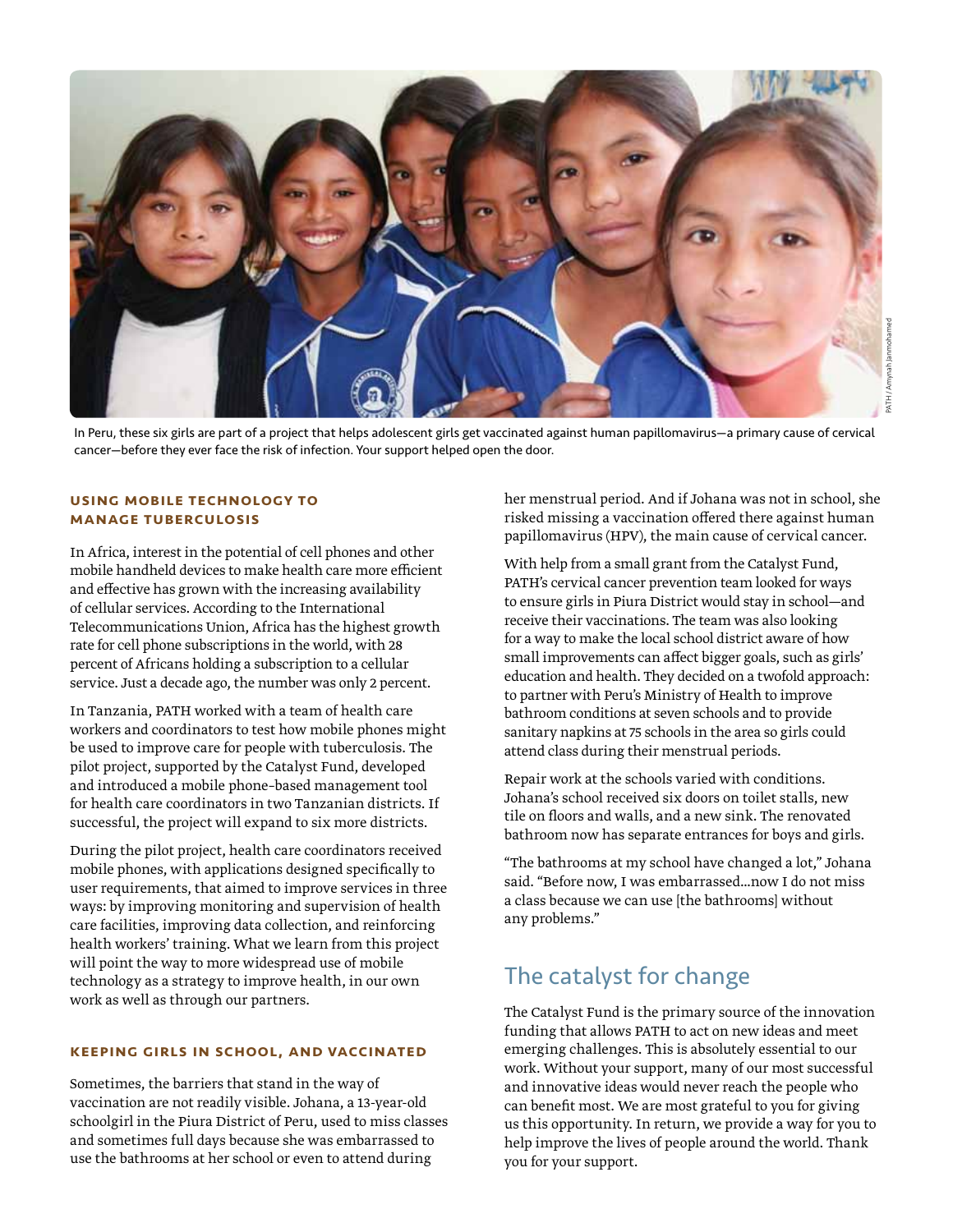

In Peru, these six girls are part of a project that helps adolescent girls get vaccinated against human papillomavirus—a primary cause of cervical cancer—before they ever face the risk of infection. Your support helped open the door.

#### using mobile technology to manage tuberculosis

In Africa, interest in the potential of cell phones and other mobile handheld devices to make health care more efficient and effective has grown with the increasing availability of cellular services. According to the International Telecommunications Union, Africa has the highest growth rate for cell phone subscriptions in the world, with 28 percent of Africans holding a subscription to a cellular service. Just a decade ago, the number was only 2 percent.

In Tanzania, PATH worked with a team of health care workers and coordinators to test how mobile phones might be used to improve care for people with tuberculosis. The pilot project, supported by the Catalyst Fund, developed and introduced a mobile phone–based management tool for health care coordinators in two Tanzanian districts. If successful, the project will expand to six more districts.

During the pilot project, health care coordinators received mobile phones, with applications designed specifically to user requirements, that aimed to improve services in three ways: by improving monitoring and supervision of health care facilities, improving data collection, and reinforcing health workers' training. What we learn from this project will point the way to more widespread use of mobile technology as a strategy to improve health, in our own work as well as through our partners.

#### keeping girls in school, and vaccinated

Sometimes, the barriers that stand in the way of vaccination are not readily visible. Johana, a 13-year-old schoolgirl in the Piura District of Peru, used to miss classes and sometimes full days because she was embarrassed to use the bathrooms at her school or even to attend during

her menstrual period. And if Johana was not in school, she risked missing a vaccination offered there against human papillomavirus (HPV), the main cause of cervical cancer.

With help from a small grant from the Catalyst Fund, PATH's cervical cancer prevention team looked for ways to ensure girls in Piura District would stay in school—and receive their vaccinations. The team was also looking for a way to make the local school district aware of how small improvements can affect bigger goals, such as girls' education and health. They decided on a twofold approach: to partner with Peru's Ministry of Health to improve bathroom conditions at seven schools and to provide sanitary napkins at 75 schools in the area so girls could attend class during their menstrual periods.

Repair work at the schools varied with conditions. Johana's school received six doors on toilet stalls, new tile on floors and walls, and a new sink. The renovated bathroom now has separate entrances for boys and girls.

"The bathrooms at my school have changed a lot," Johana said. "Before now, I was embarrassed…now I do not miss a class because we can use [the bathrooms] without any problems."

### The catalyst for change

The Catalyst Fund is the primary source of the innovation funding that allows PATH to act on new ideas and meet emerging challenges. This is absolutely essential to our work. Without your support, many of our most successful and innovative ideas would never reach the people who can benefit most. We are most grateful to you for giving us this opportunity. In return, we provide a way for you to help improve the lives of people around the world. Thank you for your support.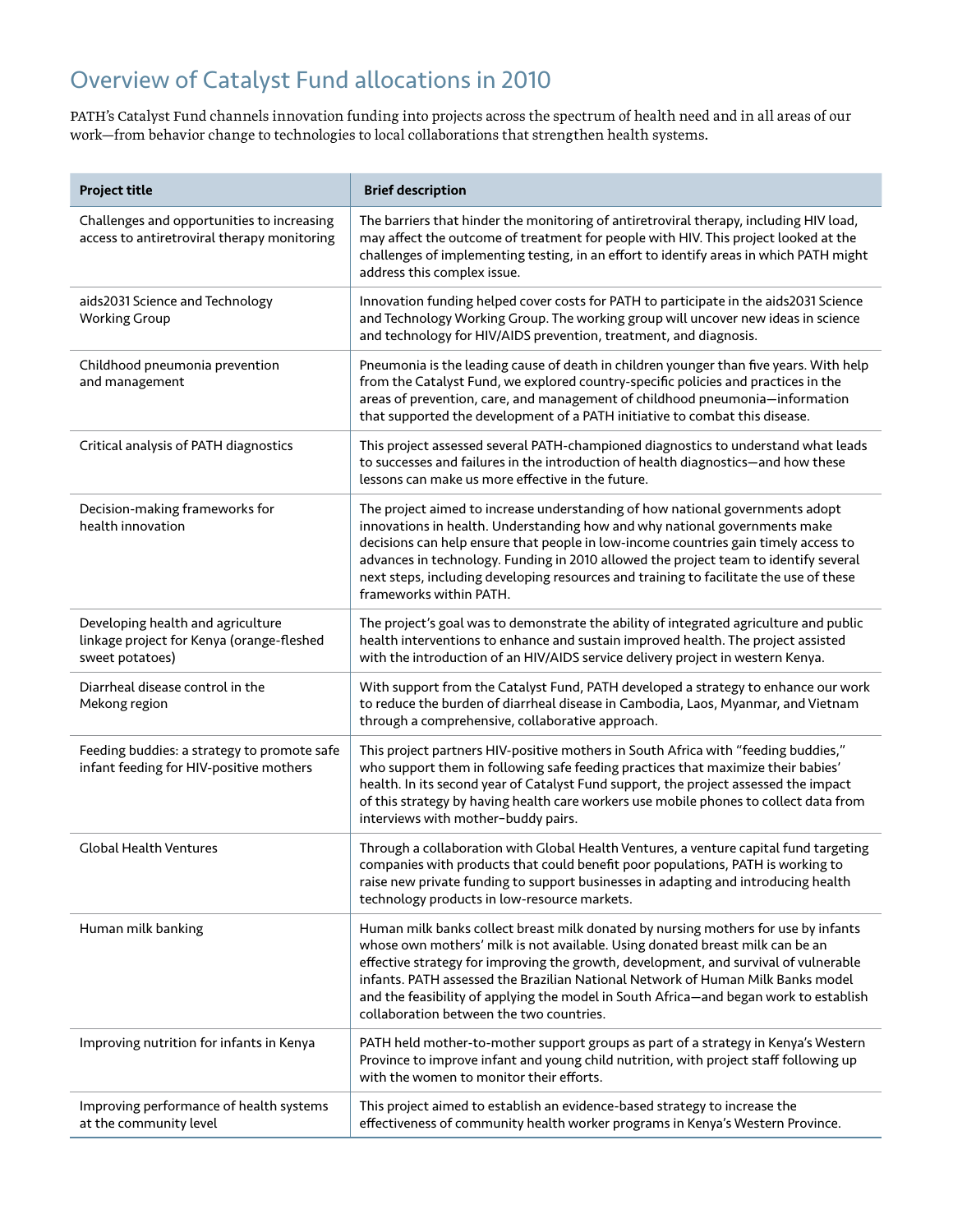## Overview of Catalyst Fund allocations in 2010

PATH's Catalyst Fund channels innovation funding into projects across the spectrum of health need and in all areas of our work—from behavior change to technologies to local collaborations that strengthen health systems.

| <b>Project title</b>                                                                              | <b>Brief description</b>                                                                                                                                                                                                                                                                                                                                                                                                                                                            |
|---------------------------------------------------------------------------------------------------|-------------------------------------------------------------------------------------------------------------------------------------------------------------------------------------------------------------------------------------------------------------------------------------------------------------------------------------------------------------------------------------------------------------------------------------------------------------------------------------|
| Challenges and opportunities to increasing<br>access to antiretroviral therapy monitoring         | The barriers that hinder the monitoring of antiretroviral therapy, including HIV load,<br>may affect the outcome of treatment for people with HIV. This project looked at the<br>challenges of implementing testing, in an effort to identify areas in which PATH might<br>address this complex issue.                                                                                                                                                                              |
| aids2031 Science and Technology<br><b>Working Group</b>                                           | Innovation funding helped cover costs for PATH to participate in the aids2031 Science<br>and Technology Working Group. The working group will uncover new ideas in science<br>and technology for HIV/AIDS prevention, treatment, and diagnosis.                                                                                                                                                                                                                                     |
| Childhood pneumonia prevention<br>and management                                                  | Pneumonia is the leading cause of death in children younger than five years. With help<br>from the Catalyst Fund, we explored country-specific policies and practices in the<br>areas of prevention, care, and management of childhood pneumonia-information<br>that supported the development of a PATH initiative to combat this disease.                                                                                                                                         |
| Critical analysis of PATH diagnostics                                                             | This project assessed several PATH-championed diagnostics to understand what leads<br>to successes and failures in the introduction of health diagnostics-and how these<br>lessons can make us more effective in the future.                                                                                                                                                                                                                                                        |
| Decision-making frameworks for<br>health innovation                                               | The project aimed to increase understanding of how national governments adopt<br>innovations in health. Understanding how and why national governments make<br>decisions can help ensure that people in low-income countries gain timely access to<br>advances in technology. Funding in 2010 allowed the project team to identify several<br>next steps, including developing resources and training to facilitate the use of these<br>frameworks within PATH.                     |
| Developing health and agriculture<br>linkage project for Kenya (orange-fleshed<br>sweet potatoes) | The project's goal was to demonstrate the ability of integrated agriculture and public<br>health interventions to enhance and sustain improved health. The project assisted<br>with the introduction of an HIV/AIDS service delivery project in western Kenya.                                                                                                                                                                                                                      |
| Diarrheal disease control in the<br>Mekong region                                                 | With support from the Catalyst Fund, PATH developed a strategy to enhance our work<br>to reduce the burden of diarrheal disease in Cambodia, Laos, Myanmar, and Vietnam<br>through a comprehensive, collaborative approach.                                                                                                                                                                                                                                                         |
| Feeding buddies: a strategy to promote safe<br>infant feeding for HIV-positive mothers            | This project partners HIV-positive mothers in South Africa with "feeding buddies,"<br>who support them in following safe feeding practices that maximize their babies'<br>health. In its second year of Catalyst Fund support, the project assessed the impact<br>of this strategy by having health care workers use mobile phones to collect data from<br>interviews with mother-buddy pairs.                                                                                      |
| <b>Global Health Ventures</b>                                                                     | Through a collaboration with Global Health Ventures, a venture capital fund targeting<br>companies with products that could benefit poor populations, PATH is working to<br>raise new private funding to support businesses in adapting and introducing health<br>technology products in low-resource markets.                                                                                                                                                                      |
| Human milk banking                                                                                | Human milk banks collect breast milk donated by nursing mothers for use by infants<br>whose own mothers' milk is not available. Using donated breast milk can be an<br>effective strategy for improving the growth, development, and survival of vulnerable<br>infants. PATH assessed the Brazilian National Network of Human Milk Banks model<br>and the feasibility of applying the model in South Africa-and began work to establish<br>collaboration between the two countries. |
| Improving nutrition for infants in Kenya                                                          | PATH held mother-to-mother support groups as part of a strategy in Kenya's Western<br>Province to improve infant and young child nutrition, with project staff following up<br>with the women to monitor their efforts.                                                                                                                                                                                                                                                             |
| Improving performance of health systems<br>at the community level                                 | This project aimed to establish an evidence-based strategy to increase the<br>effectiveness of community health worker programs in Kenya's Western Province.                                                                                                                                                                                                                                                                                                                        |